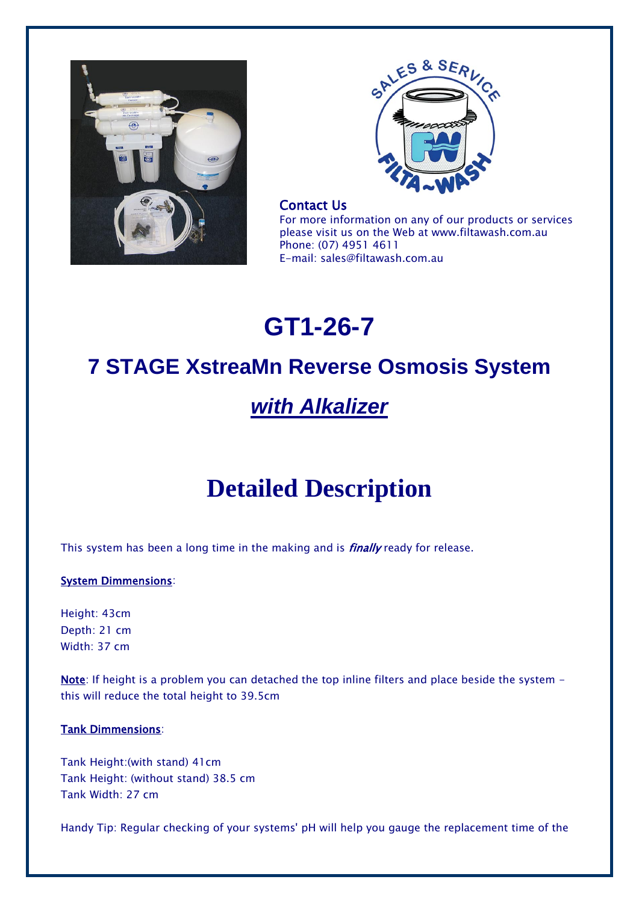



# Contact Us

For more information on any of our products or services please visit us on the Web at www.filtawash.com.au Phone: (07) 4951 4611 E-mail: sales@filtawash.com.au

# **GT1-26-7**

# **7 STAGE XstreaMn Reverse Osmosis System**

# *with Alkalizer*

# **Detailed Description**

This system has been a long time in the making and is *finally* ready for release.

# System Dimmensions:

Height: 43cm Depth: 21 cm Width: 37 cm

Note: If height is a problem you can detached the top inline filters and place beside the system this will reduce the total height to 39.5cm

# Tank Dimmensions:

Tank Height:(with stand) 41cm Tank Height: (without stand) 38.5 cm Tank Width: 27 cm

Handy Tip: Regular checking of your systems' pH will help you gauge the replacement time of the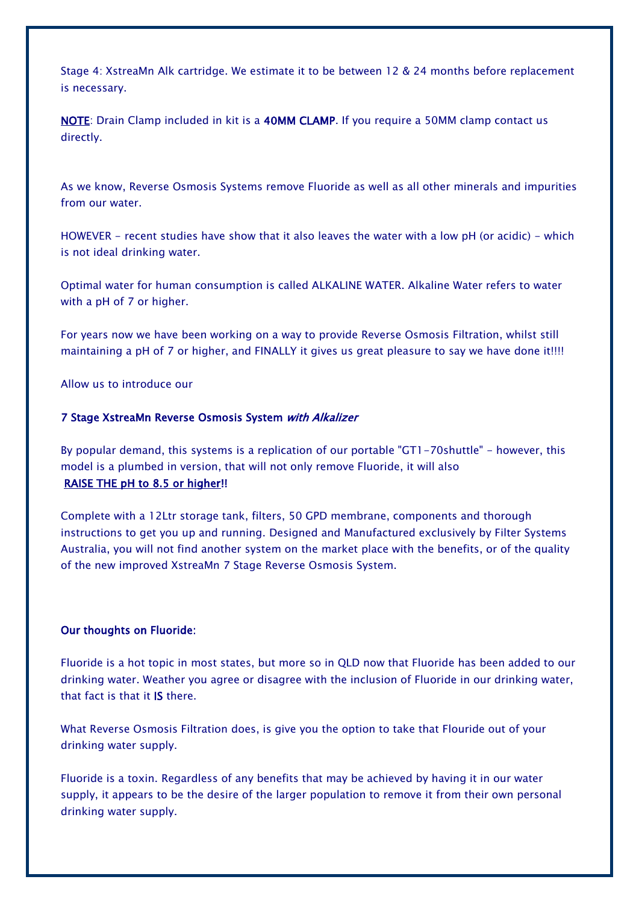Stage 4: XstreaMn Alk cartridge. We estimate it to be between 12 & 24 months before replacement is necessary.

NOTE: Drain Clamp included in kit is a 40MM CLAMP. If you require a 50MM clamp contact us directly.

As we know, Reverse Osmosis Systems remove Fluoride as well as all other minerals and impurities from our water.

HOWEVER - recent studies have show that it also leaves the water with a low pH (or acidic) - which is not ideal drinking water.

Optimal water for human consumption is called ALKALINE WATER. Alkaline Water refers to water with a pH of 7 or higher.

For years now we have been working on a way to provide Reverse Osmosis Filtration, whilst still maintaining a pH of 7 or higher, and FINALLY it gives us great pleasure to say we have done it!!!!

Allow us to introduce our

### 7 Stage XstreaMn Reverse Osmosis System with Alkalizer

By popular demand, this systems is a replication of our portable "GT1-70shuttle" - however, this model is a plumbed in version, that will not only remove Fluoride, it will also RAISE THE pH to 8.5 or higher!!

Complete with a 12Ltr storage tank, filters, 50 GPD membrane, components and thorough instructions to get you up and running. Designed and Manufactured exclusively by Filter Systems Australia, you will not find another system on the market place with the benefits, or of the quality of the new improved XstreaMn 7 Stage Reverse Osmosis System.

# Our thoughts on Fluoride:

Fluoride is a hot topic in most states, but more so in QLD now that Fluoride has been added to our drinking water. Weather you agree or disagree with the inclusion of Fluoride in our drinking water, that fact is that it IS there.

What Reverse Osmosis Filtration does, is give you the option to take that Flouride out of your drinking water supply.

Fluoride is a toxin. Regardless of any benefits that may be achieved by having it in our water supply, it appears to be the desire of the larger population to remove it from their own personal drinking water supply.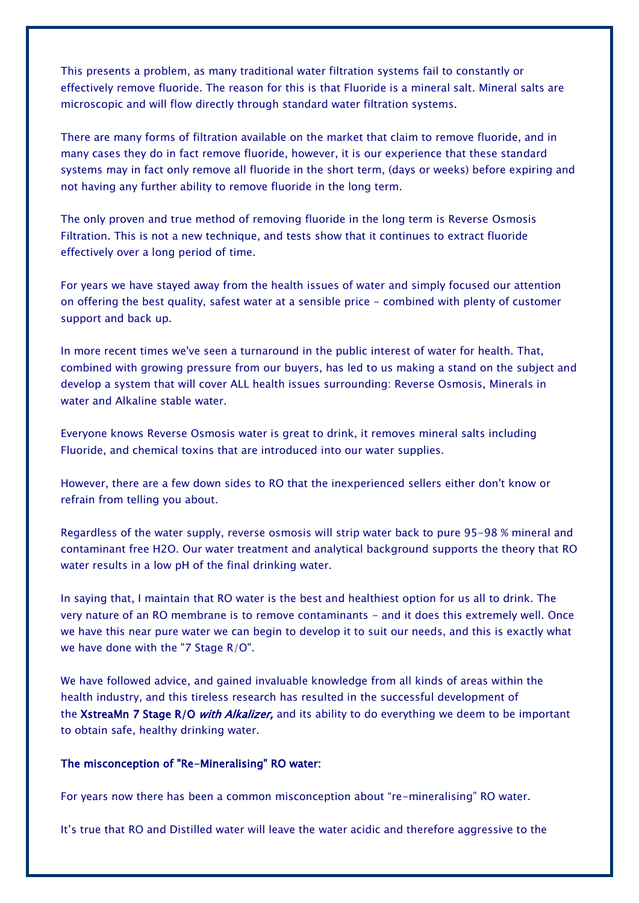This presents a problem, as many traditional water filtration systems fail to constantly or effectively remove fluoride. The reason for this is that Fluoride is a mineral salt. Mineral salts are microscopic and will flow directly through standard water filtration systems.

There are many forms of filtration available on the market that claim to remove fluoride, and in many cases they do in fact remove fluoride, however, it is our experience that these standard systems may in fact only remove all fluoride in the short term, (days or weeks) before expiring and not having any further ability to remove fluoride in the long term.

The only proven and true method of removing fluoride in the long term is Reverse Osmosis Filtration. This is not a new technique, and tests show that it continues to extract fluoride effectively over a long period of time.

For years we have stayed away from the health issues of water and simply focused our attention on offering the best quality, safest water at a sensible price - combined with plenty of customer support and back up.

In more recent times we've seen a turnaround in the public interest of water for health. That, combined with growing pressure from our buyers, has led to us making a stand on the subject and develop a system that will cover ALL health issues surrounding: Reverse Osmosis, Minerals in water and Alkaline stable water.

Everyone knows Reverse Osmosis water is great to drink, it removes mineral salts including Fluoride, and chemical toxins that are introduced into our water supplies.

However, there are a few down sides to RO that the inexperienced sellers either don't know or refrain from telling you about.

Regardless of the water supply, reverse osmosis will strip water back to pure 95-98 % mineral and contaminant free H2O. Our water treatment and analytical background supports the theory that RO water results in a low pH of the final drinking water.

In saying that, I maintain that RO water is the best and healthiest option for us all to drink. The very nature of an RO membrane is to remove contaminants - and it does this extremely well. Once we have this near pure water we can begin to develop it to suit our needs, and this is exactly what we have done with the "7 Stage R/O".

We have followed advice, and gained invaluable knowledge from all kinds of areas within the health industry, and this tireless research has resulted in the successful development of the XstreaMn 7 Stage R/O with Alkalizer, and its ability to do everything we deem to be important to obtain safe, healthy drinking water.

# The misconception of "Re-Mineralising" RO water:

For years now there has been a common misconception about "re-mineralising" RO water.

It's true that RO and Distilled water will leave the water acidic and therefore aggressive to the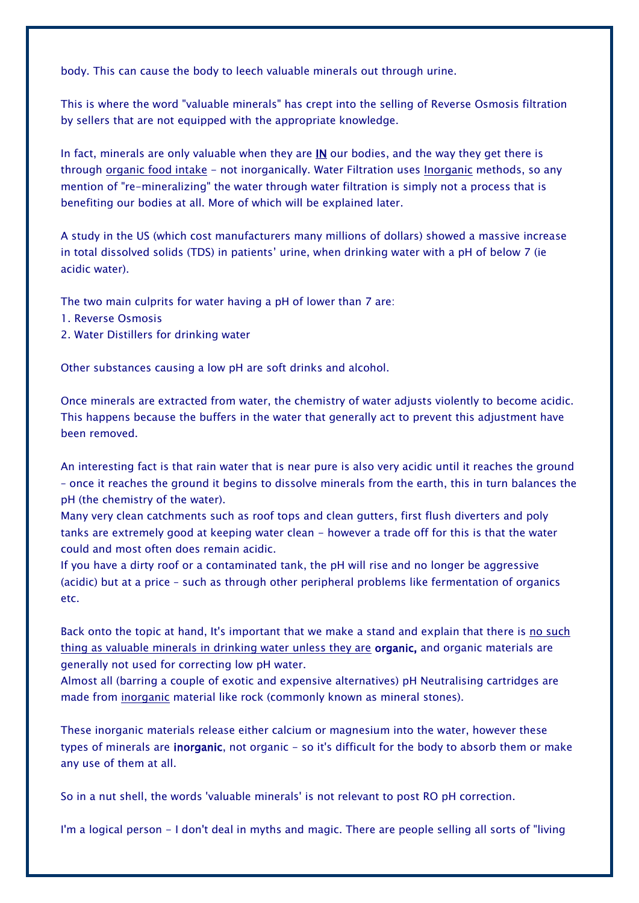body. This can cause the body to leech valuable minerals out through urine.

This is where the word "valuable minerals" has crept into the selling of Reverse Osmosis filtration by sellers that are not equipped with the appropriate knowledge.

In fact, minerals are only valuable when they are  $IN$  our bodies, and the way they get there is through organic food intake - not inorganically. Water Filtration uses Inorganic methods, so any mention of "re-mineralizing" the water through water filtration is simply not a process that is benefiting our bodies at all. More of which will be explained later.

A study in the US (which cost manufacturers many millions of dollars) showed a massive increase in total dissolved solids (TDS) in patients' urine, when drinking water with a pH of below 7 (ie acidic water).

The two main culprits for water having a pH of lower than 7 are:

- 1. Reverse Osmosis
- 2. Water Distillers for drinking water

Other substances causing a low pH are soft drinks and alcohol.

Once minerals are extracted from water, the chemistry of water adjusts violently to become acidic. This happens because the buffers in the water that generally act to prevent this adjustment have been removed.

An interesting fact is that rain water that is near pure is also very acidic until it reaches the ground – once it reaches the ground it begins to dissolve minerals from the earth, this in turn balances the pH (the chemistry of the water).

Many very clean catchments such as roof tops and clean gutters, first flush diverters and poly tanks are extremely good at keeping water clean - however a trade off for this is that the water could and most often does remain acidic.

If you have a dirty roof or a contaminated tank, the pH will rise and no longer be aggressive (acidic) but at a price – such as through other peripheral problems like fermentation of organics etc.

Back onto the topic at hand, It's important that we make a stand and explain that there is no such thing as valuable minerals in drinking water unless they are organic, and organic materials are generally not used for correcting low pH water.

Almost all (barring a couple of exotic and expensive alternatives) pH Neutralising cartridges are made from inorganic material like rock (commonly known as mineral stones).

These inorganic materials release either calcium or magnesium into the water, however these types of minerals are **inorganic**, not organic - so it's difficult for the body to absorb them or make any use of them at all.

So in a nut shell, the words 'valuable minerals' is not relevant to post RO pH correction.

I'm a logical person - I don't deal in myths and magic. There are people selling all sorts of "living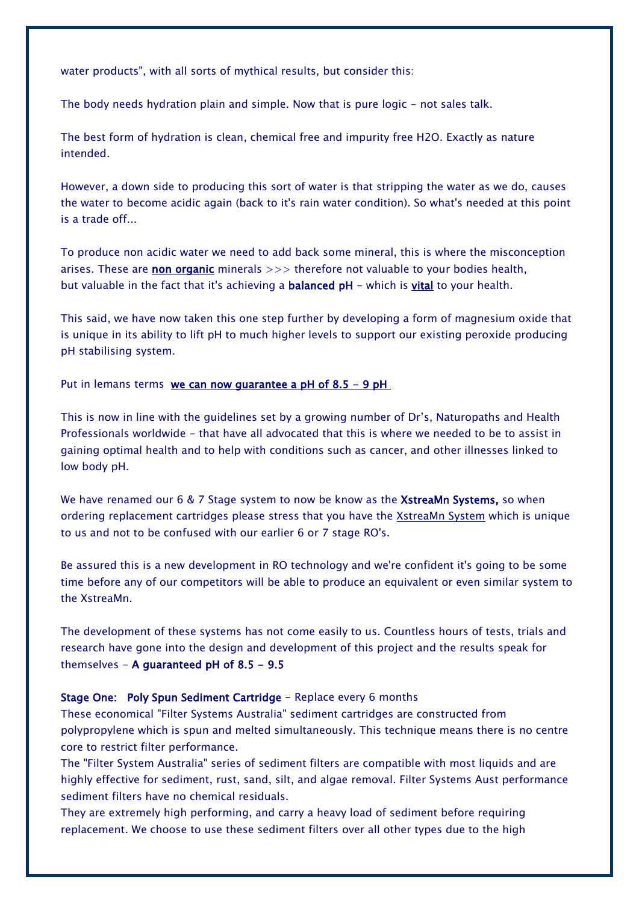water products", with all sorts of mythical results, but consider this:

The body needs hydration plain and simple. Now that is pure logic - not sales talk.

The best form of hydration is clean, chemical free and impurity free H2O. Exactly as nature intended.

However, a down side to producing this sort of water is that stripping the water as we do, causes the water to become acidic again (back to it's rain water condition). So what's needed at this point is a trade off...

To produce non acidic water we need to add back some mineral, this is where the misconception arises. These are non organic minerals  $\gg$  therefore not valuable to your bodies health, but valuable in the fact that it's achieving a **balanced pH** - which is *vital* to your health.

This said, we have now taken this one step further by developing a form of magnesium oxide that is unique in its ability to lift pH to much higher levels to support our existing peroxide producing pH stabilising system.

Put in lemans terms we can now quarantee a pH of  $8.5 - 9$  pH

This is now in line with the guidelines set by a growing number of Dr's, Naturopaths and Health Professionals worldwide - that have all advocated that this is where we needed to be to assist in gaining optimal health and to help with conditions such as cancer, and other illnesses linked to low body pH.

We have renamed our 6 & 7 Stage system to now be know as the **XstreaMn Systems**, so when ordering replacement cartridges please stress that you have the XstreaMn System which is unique to us and not to be confused with our earlier 6 or 7 stage RO's.

Be assured this is a new development in RO technology and we're confident it's going to be some time before any of our competitors will be able to produce an equivalent or even similar system to the XstreaMn.

The development of these systems has not come easily to us. Countless hours of tests, trials and research have gone into the design and development of this project and the results speak for themselves  $-$  A guaranteed pH of 8.5  $-$  9.5

### Stage One: Poly Spun Sediment Cartridge - Replace every 6 months

These economical "Filter Systems Australia" sediment cartridges are constructed from polypropylene which is spun and melted simultaneously. This technique means there is no centre core to restrict filter performance.

The "Filter System Australia" series of sediment filters are compatible with most liquids and are highly effective for sediment, rust, sand, silt, and algae removal. Filter Systems Aust performance sediment filters have no chemical residuals.

They are extremely high performing, and carry a heavy load of sediment before requiring replacement. We choose to use these sediment filters over all other types due to the high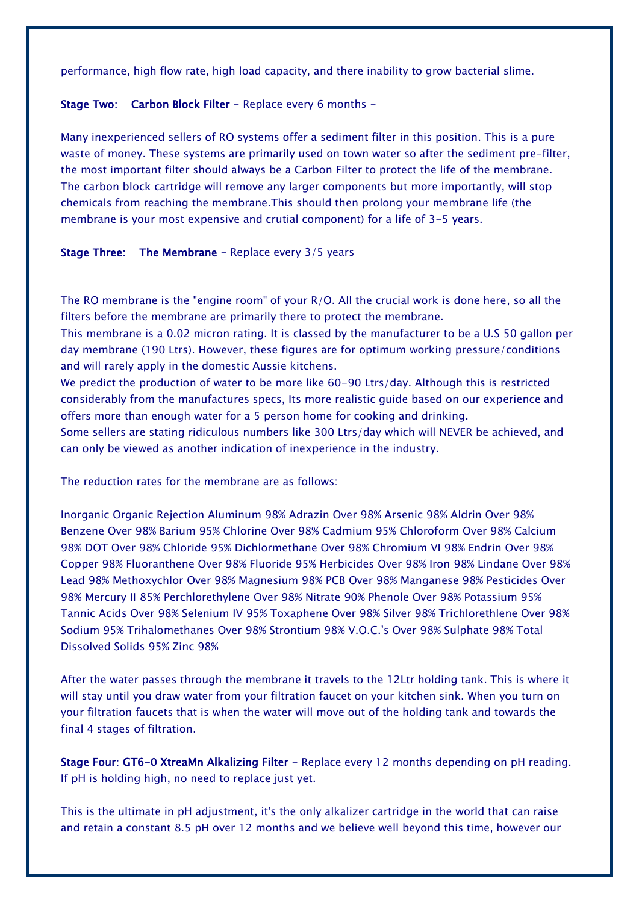performance, high flow rate, high load capacity, and there inability to grow bacterial slime.

### Stage Two: Carbon Block Filter - Replace every 6 months -

Many inexperienced sellers of RO systems offer a sediment filter in this position. This is a pure waste of money. These systems are primarily used on town water so after the sediment pre-filter, the most important filter should always be a Carbon Filter to protect the life of the membrane. The carbon block cartridge will remove any larger components but more importantly, will stop chemicals from reaching the membrane.This should then prolong your membrane life (the membrane is your most expensive and crutial component) for a life of 3-5 years.

Stage Three: The Membrane - Replace every 3/5 years

The RO membrane is the "engine room" of your R/O. All the crucial work is done here, so all the filters before the membrane are primarily there to protect the membrane.

This membrane is a 0.02 micron rating. It is classed by the manufacturer to be a U.S 50 gallon per day membrane (190 Ltrs). However, these figures are for optimum working pressure/conditions and will rarely apply in the domestic Aussie kitchens.

We predict the production of water to be more like 60-90 Ltrs/day. Although this is restricted considerably from the manufactures specs, Its more realistic guide based on our experience and offers more than enough water for a 5 person home for cooking and drinking.

Some sellers are stating ridiculous numbers like 300 Ltrs/day which will NEVER be achieved, and can only be viewed as another indication of inexperience in the industry.

The reduction rates for the membrane are as follows:

Inorganic Organic Rejection Aluminum 98% Adrazin Over 98% Arsenic 98% Aldrin Over 98% Benzene Over 98% Barium 95% Chlorine Over 98% Cadmium 95% Chloroform Over 98% Calcium 98% DOT Over 98% Chloride 95% Dichlormethane Over 98% Chromium VI 98% Endrin Over 98% Copper 98% Fluoranthene Over 98% Fluoride 95% Herbicides Over 98% Iron 98% Lindane Over 98% Lead 98% Methoxychlor Over 98% Magnesium 98% PCB Over 98% Manganese 98% Pesticides Over 98% Mercury II 85% Perchlorethylene Over 98% Nitrate 90% Phenole Over 98% Potassium 95% Tannic Acids Over 98% Selenium IV 95% Toxaphene Over 98% Silver 98% Trichlorethlene Over 98% Sodium 95% Trihalomethanes Over 98% Strontium 98% V.O.C.'s Over 98% Sulphate 98% Total Dissolved Solids 95% Zinc 98%

After the water passes through the membrane it travels to the 12Ltr holding tank. This is where it will stay until you draw water from your filtration faucet on your kitchen sink. When you turn on your filtration faucets that is when the water will move out of the holding tank and towards the final 4 stages of filtration.

Stage Four: GT6-0 XtreaMn Alkalizing Filter - Replace every 12 months depending on pH reading. If pH is holding high, no need to replace just yet.

This is the ultimate in pH adjustment, it's the only alkalizer cartridge in the world that can raise and retain a constant 8.5 pH over 12 months and we believe well beyond this time, however our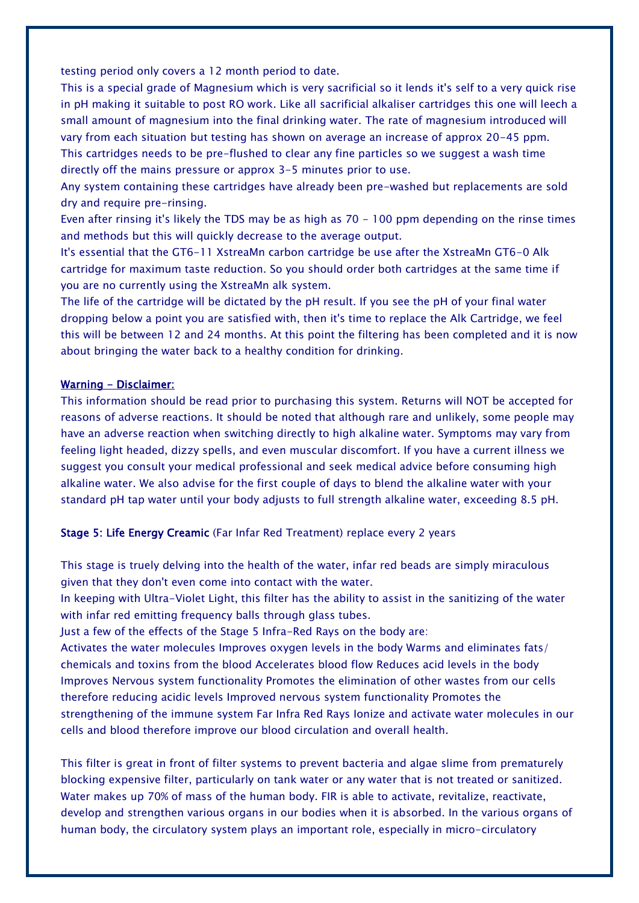testing period only covers a 12 month period to date.

This is a special grade of Magnesium which is very sacrificial so it lends it's self to a very quick rise in pH making it suitable to post RO work. Like all sacrificial alkaliser cartridges this one will leech a small amount of magnesium into the final drinking water. The rate of magnesium introduced will vary from each situation but testing has shown on average an increase of approx 20-45 ppm. This cartridges needs to be pre-flushed to clear any fine particles so we suggest a wash time directly off the mains pressure or approx 3-5 minutes prior to use.

Any system containing these cartridges have already been pre-washed but replacements are sold dry and require pre-rinsing.

Even after rinsing it's likely the TDS may be as high as 70 - 100 ppm depending on the rinse times and methods but this will quickly decrease to the average output.

It's essential that the GT6-11 XstreaMn carbon cartridge be use after the XstreaMn GT6-0 Alk cartridge for maximum taste reduction. So you should order both cartridges at the same time if you are no currently using the XstreaMn alk system.

The life of the cartridge will be dictated by the pH result. If you see the pH of your final water dropping below a point you are satisfied with, then it's time to replace the Alk Cartridge, we feel this will be between 12 and 24 months. At this point the filtering has been completed and it is now about bringing the water back to a healthy condition for drinking.

#### Warning - Disclaimer:

This information should be read prior to purchasing this system. Returns will NOT be accepted for reasons of adverse reactions. It should be noted that although rare and unlikely, some people may have an adverse reaction when switching directly to high alkaline water. Symptoms may vary from feeling light headed, dizzy spells, and even muscular discomfort. If you have a current illness we suggest you consult your medical professional and seek medical advice before consuming high alkaline water. We also advise for the first couple of days to blend the alkaline water with your standard pH tap water until your body adjusts to full strength alkaline water, exceeding 8.5 pH.

## Stage 5: Life Energy Creamic (Far Infar Red Treatment) replace every 2 years

This stage is truely delving into the health of the water, infar red beads are simply miraculous given that they don't even come into contact with the water.

In keeping with Ultra-Violet Light, this filter has the ability to assist in the sanitizing of the water with infar red emitting frequency balls through glass tubes.

Just a few of the effects of the Stage 5 Infra-Red Rays on the body are:

Activates the water molecules Improves oxygen levels in the body Warms and eliminates fats/ chemicals and toxins from the blood Accelerates blood flow Reduces acid levels in the body Improves Nervous system functionality Promotes the elimination of other wastes from our cells therefore reducing acidic levels Improved nervous system functionality Promotes the strengthening of the immune system Far Infra Red Rays Ionize and activate water molecules in our cells and blood therefore improve our blood circulation and overall health.

This filter is great in front of filter systems to prevent bacteria and algae slime from prematurely blocking expensive filter, particularly on tank water or any water that is not treated or sanitized. Water makes up 70% of mass of the human body. FIR is able to activate, revitalize, reactivate, develop and strengthen various organs in our bodies when it is absorbed. In the various organs of human body, the circulatory system plays an important role, especially in micro-circulatory